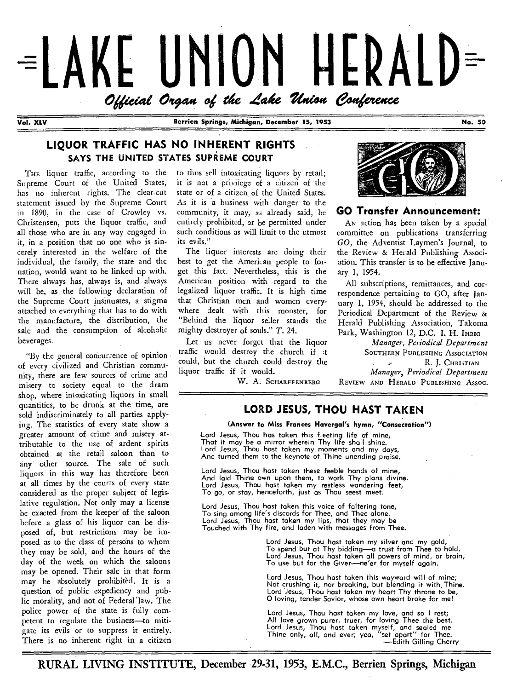

**Vol. XLV Berrien Springs, Michigan, December 15, 1953 No. 50** 

#### **LIQUOR TRAFFIC HAS NO INHERENT RIGHTS**  SAYS THE UNITED STATES SUPREME COURT

THE liquor traffic, according to the Supreme Court of the United States, has no inherent rights. The clear-cut statement issued by the Supreme Court in 1890, in the case of Crowley vs. Christensen, puts the liquor traffic, and all those who are in any way engaged in it, in a position that no one who is sincerely interested in the welfare of the individual, the family, the state and the nation, would want to be linked up with. There always has, always is, and always will be, as the following declaration of the Supreme Court insinuates, a stigma attached to everything that has to do with the manufacture, the distribution, the sale and the consumption of alcoholic beverages.

"By the general concurrence of opinion of every civilized and Christian community, there are few sources of crime and misery to society equal to the dram shop, where intoxicating liquors in small quantities, to be drunk at the time, are sold indiscriminately to all parties applying. The statistics of every state show a greater amount of crime and misery attributable to the use of ardent spirits obtained at the retail saloon than to any other source. The sale of such liquors in this way has therefore been at all times by the courts of every state considered as the proper subject of legislative regulation. Not only may a license be exacted from the keeper of the saloon before a glass of his liquor can be disposed of, but restrictions may be imposed as to the class of persons to whom they may be sold, and the hours of the day of the week on which the saloons may be opened. Their sale in that form may be absolutely prohibited. It is a question of public expediency and public morality, and not of Federal' law. The police power of the state is fully competent to regulate the business—to mitigate its evils or to suppress it entirely. There is no inherent right in a citizen

to thus sell intoxicating liquors by retail; it is not a privilege of a citizen of the state or of a citizen of the United States. As it is a business with danger to the community, it may, as already said, be entirely prohibited, or be permitted under such conditions as will limit to the utmost its evils."

The liquor interests are doing their best to get the American people to forget this fact. Nevertheless, this is the American position with regard to the legalized liquor traffic. It is high time that Christian men and women everywhere dealt with this monster, for "Behind the liquor seller stands the mighty destroyer of souls." *T.* 24.

Let us never forget that the liquor traffic would destroy the church if could, but the church could destroy the liquor traffic if it would.

W. A. SCHARFFENBERG



#### **GO Transfer Announcement:**

AN action has been taken by a special committee on publications transferring *GO,* the Adventist Laymen's Journal, to the Review & Herald Publishing Association. This transfer is to be effective January 1, 1954.

All subscriptions, remittances, and correspondence pertaining to GO, after January 1, 1954, should be addressed to the Periodical Department of the Review & Herald Publishing Association, Takoma Park, Washington 12, D.C. I. H. IHRIG

*Manager, Periodical Department*  SOUTHERN PUBLISHING ASSOCIATION R. J. CHRISTIAN *Manager, Periodical Department*  REVIEW AND HERALD PUBLISHING ASSOC.

#### **LORD JESUS, THOU HAST TAKEN**

#### **(Answer to Miss Frances Havergal's hymn, "Consecration")**

Lord Jesus, Thou has taken this fleeting life of mine, That it may be a mirror wherein Thy life shall shine. Lord Jesus, Thou host taken my moments and my days, And turned them to the keynote of Thine unending praise.

Lord Jesus, Thou host taken these feeble hands of mine, And laid Thine own upon them, to work Thy plans divine. Lord Jesus, Thou hast taken my restless wandering feet, To go, or stay, henceforth, just as Thou seest meet.

Lord Jesus, Thou host taken this voice of faltering tone, To sing among life's discords for Thee, and Thee alone. Lord Jesus, Thou host taken my lips, that they may be Touched with Thy fire, and laden with messages from Thee.

> Lord Jesus, Thou host taken my silver and my gold, To spend but at Thy bidding—a trust from Thee to hold. Lord Jesus, Thou host taken **all** powers of mind, or brain, To use but for the Giver—ne'er for myself again.

> Lord Jesus, Thou host token this wayward will of mine; Not crushing it, nor breaking, but blending it with, Thine. Lord Jesus, Thou host taken my heart Thy throne to be, 0 loving, tender Savior, whose own heart broke for me!

Lord Jesus, Thou host taken my love, and so **I** rest; All love grown purer, truer, for loving Thee the best. Lord Jesus, Thou host taken myself, and sealed me Thine only, all, and ever; yea, "set apart" for Thee. —Edith Gilling Cherry

**RURAL LIVING INSTITUTE, December 29-31, 1953, E.M.C., Berrien Springs, Michigan**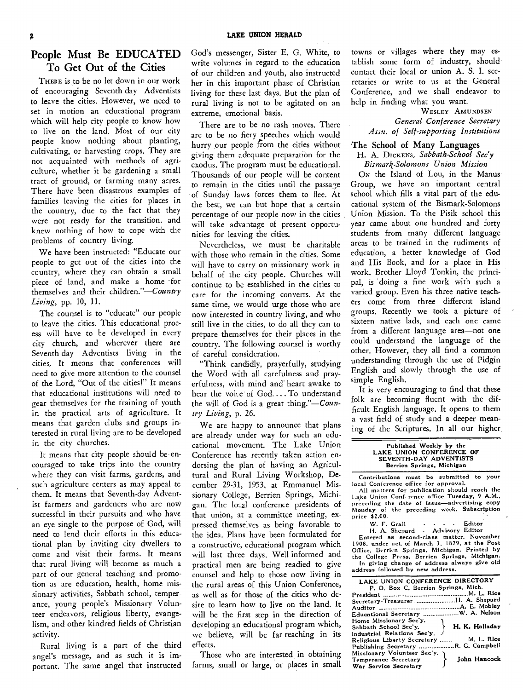#### **People Must Be EDUCATED To Get Out of the Cities**

THERE is to be no let down in our work of encouraging Seventh day Adventists to leave the cities. However, we need to set in motion an educational program which will help city people to know how to live on the land. Most of our city people know nothing about planting, cultivating, or harvesting crops. They are not acquainted with methods of agriculture, whether it be gardening a small tract of ground, or farming many acres. There have been disastrous examples of families leaving the cities for places in the country, due to the fact that they were not ready for the transition. and knew nothing of how to cope with the problems of country living.

We have been instructed: "Educate our people to get out of the cities into the country, where they can obtain a small piece of land, and make a home for themselves and their *children."—Country Living,* pp. 10, 11.

The counsel is to "educate" our people to leave the cities. This educational process will have to be developed in every city church, and wherever there are Seventh day Adventists living in the cities. It means that conferences will need to give more attention to the counsel of the Lord, "Out of the cities!" It means that educational institutions will need to gear themselves for the training of youth in the practical arts of agriculture. It means that garden clubs and groups interested in rural living are to be developed in the city churches.

It means that city people should be encouraged to take trips into the country where they can visit farms, gardens, and such agriculture centers as may appeal tc them. It means that Seventh-day Adventist farmers and gardeners who are now successful in their pursuits and who have an eye single to the purpose of God, will need to lend their efforts in this educational plan by inviting city dwellers to come and visit their farms. It means that rural living will become as much a part of our general teaching and promotion as are education, health, home missionary activities, Sabbath school, temperance, young people's Missionary Volunteer endeavors, religious liberty, evangelism, and other kindred fields of Christian activity.

Rural living is a part of the third angel's message, and as such it is important. The same angel that instructed

God's messenger, Sister E. G. White, to write volumes in regard to the education of our children and youth, also instructed her in this important phase of Christian living for these last days. But the plan of rural living is not to be agitated on an extreme, emotional basis.

There are to be no rash moves. There are to be no fiery speeches which would hurry our people from the cities without giving them adequate preparation for the exodus. The program must be educational. Thousands of our people will be content to remain in the cities until the passage of Sunday laws forces them to. flee. At the best, we can but hope that a certain percentage of our people now in the cities will take advantage of present opportunities for leaving the cities.

Nevertheless, we must be charitable with those who remain in the cities. Some will have to carry on missionary work in behalf of the city people. Churches will continue to be established in the cities to care for the incoming converts. At the same time, we would urge those who are now interested in country living, and who still live in the cities, to do all they can to prepare themselves for their places in the country. The following counsel is worthy of careful consideration.

"Think candidly, prayerfully, studying the Word with all carefulness and prayerfulness, with mind and' heart awake to hear the voice of God.... To understand the will of God is a great *thing."—Country Living,* p. 26.

We are happy to announce that plans are already under way for such an educational movement. The Lake Union Conference has recently taken action endorsing the plan of having an Agricultural and Rural Living Workshop, December 29-31, 1953, at Emmanuel Missionary College, Berrien Springs, Michigan. The local conference presidents of that union, at a committee meeting, expressed themselves as being favorable to the idea. Plans have been formulated for a constructive, educational program which will last three days. Well informed and practical men are being readied to give counsel and help to those now living in the rural areas of this Union Conference, as well as for those of the cities who desire to learn how to live on the land. It will be the first step in the direction of developing an educational program which, we believe, will be far reaching in its effects.

Those who are interested in obtaining farms, small or large, or places in small towns or villages where they may establish some form of industry, should contact their local or union A. S. I. secretaries or write to us at the General Conference, and we shall endeavor to help in finding what you want.

> WESLEY AMUNDSEN *General Conference Secretary Assn. of Self-supporting Institutions*

### The School of Many Languages

H. A. DICKENS, *Sabbath-School Sec'y Bismark-Solomons Union Mission* 

ON the Island of Lou, in the Manus Group, we have an important central school which fills a vital part of the educational system of the Bismark-Solomons Union Mission. To the Pisik school this year came about one hundred and forty students from many different language areas to be trained in the rudiments of education, a better knowledge of God and His Book, and for a place in His work. Brother Lloyd Tonkin, the principal, is 'doing a fine work with such a varied group. Even his three native teachers come from three different island groups. Recently we took a picture of sixteen native lads, and each one came from a different language area—not one could understand the language of the other. However, they all find a common understanding through the use of Pidgin English and slowly through the use of simple English.

It is very encouraging to find that these folk are becoming fluent with the difficult English language. It opens to them a vast field of study and a deeper meaning of the Scriptures. In all our higher.

| Published Weekly by the   |  |
|---------------------------|--|
| LAKE UNION CONFERENCE OF  |  |
| SEVENTH-DAY ADVENTISTS    |  |
| Berrien Springs, Michigan |  |

Contributions must be submitted to your local Conference office for approval.

All matters for publication should **reach** the Lake Union Conference office Tuesday, 9 A.M., preceding the date of issue—advertising copy Monday of the preceding week. Subscription<br>
price \$2.00.<br>
W. F. Grall - • • • Editor

W. F. Grall . . . . . Editor<br>11. A. Shepard . Advisory Editor

Entered as second-class matter. November 1908. under act. of March 3. 1879, at the Post Office. Berrien Springs, Michigan. Printed by the College Press. Berrien Springs. Michigan. In giving change of address always give old address followed by new address.

| LAKE UNION CONFERENCE DIRECTORY         |
|-----------------------------------------|
| P. O. Box C. Berrien Springs, Mich.     |
|                                         |
| Secretary-TreasurerH. A. Shepard        |
|                                         |
| Educational Secretary W. A. Nelson      |
| Home Missionary Sec'y.                  |
| H. K. Halladay<br>Sabbath School Sec'y. |
| Industrial Relations Sec'y.             |
| Religious Liberty Secretary M. L. Rice  |
| Publishing Secretary R. G. Campbell     |
| Nissionary Volunteer Sec'y. מ           |
| John Hancock<br>Temperance Secretary    |
| War Service Secretary                   |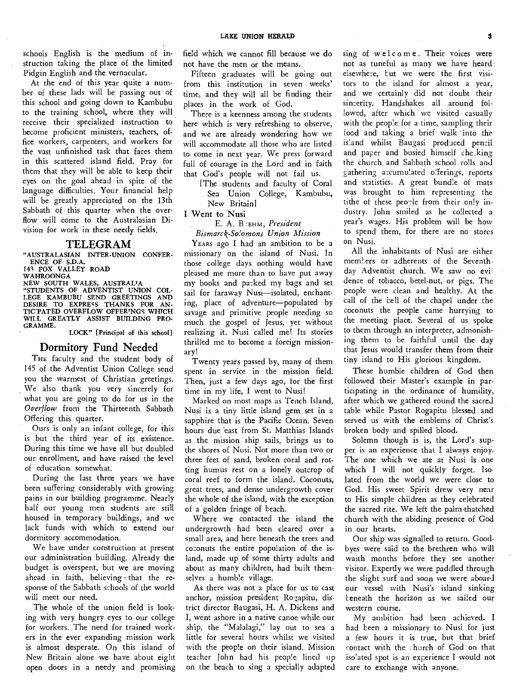schools English is the medium of instruction taking the place of the limited Pidgin English and the vernacular.

At the end of this year quite a number of these lads will be passing out of this school and going down to Kambubu to the training school, where they will receive their specialized instruction to become proficient ministers, teachers, office workers, carpenters, and workers for the vast unfinished task that faces them in this scattered island field. Pray for them that they will be able to keep their eyes on the goal ahead in spite of the language difficulties. Your financial help will be greatly appreciated on the 13th Sabbath of this quarter when the overflow will come to the Australasian Division for work in these needy fields.

#### TELEGRAM

"AUSTRALASIAN INTER-UNION CONFER-ENCE OF S.D.A.

145 FOX VALLEY ROAD

WAHROONGA

NEW SOUTH WALES, AUSTRALIA "STUDENTS OF ADVENTIST UNION COL-LEGE KAMBUBU SEND GREETINGS AND DESIRE TO EXPRESS THANKS FOR AN-<br>TICTATED OVERFLOW OFFERINGS WHICH WILL GREATLY ASSIST BUILDING PRO-GRAMME.

LOCK" [Principal of this school]

#### Dormitory Fund Needed

THE faculty and the student body of 145 of the Adventist Union College send you the warmest of Christian greetings. We also thank you very sincerely for what you are going to do for us in the *Overflow* from the Thirteenth Sabbath Offering this quarter.

Ours is only an infant college, for this is but the third year of its existence. During this time we have all but doubled our enrollment, and have raised the level of education somewhat.

During the last three years we have been suffering considerably with growing pains in our building programme. Nearly half our young men students are still housed in temporary buildings, and we lack funds with which to extend our dormitory accommodation.

We have under construction at present our administration building. Already the budget is overspent, but we are moving ahead in faith, believing - that the response of the Sabbath schools of the world will meet our need.

The whole of the union field is looking with very hungry eyes to our college for workers. The need for trained workers in the ever expanding mission work is almost desperate. On this island of New Britain alone we have about eight open doors in a needy and promising field which we cannot fill because we do not have the men or the means.

Fifteen graduates will be going out from this institution in seven weeks' time, and they will all be finding their places in the work of God.

There is a keenness among the students here which is very refreshing to observe, and we are already wondering how we will accommodate all those who are listed to come in next year. We press forward full of courage in the Lord and in faith that God's people will not fail us.

[The students and faculty of Coral Sea Union College, Kambubu, New Britain]

I Went to Nusi

E. A. B :Exm, *President* 

*Bismarck-So'omons Union Mission* 

YEARS ago I had an ambition to be a missionary on the island of Nusi. In those college days nothing would have pleased me more than to have put away my books and packed my bags and set sail for faraway Nusi—isolated, enchanting, place of adventure—populated by savage and primitive people needing so much the gospel of Jesus, yet without realizing it. Nusi called me! Its stories thrilled me to become a foreign missionary!

Twenty years passed by, many of them spent in service in the mission field. Then, just a few days ago, for the first time in my life, I went to Nusi!

Marked on most maps as Tench Island, Nusi is a tiny little island gem set in a sapphire that is the Pacific Ocean. Seven hours due 'east from St. Matthias Islands as the mission ship sails, brings us to the shores of Nusi. Not more than two or three feet of sand, broken coral and rotting humus rest on a lonely outcrop of coral reef to form the island. Coconuts, great trees, and dense undergrowth cover the whole of the island, with the exception of a golden fringe of beach.

Where we contacted the island the undergrowth had been cleared over a small area, and here beneath the trees and coconuts the entire population of the island, made up of some thirty adults and about as many children, had built themselves a humble village.

As there was not a place for us to cast anchor, mission president Rogapitu, district director Baugasi, H. A. Dickens and I, went ashore in a native canoe while our ship, the "Malalagi," lay out to sea a little for several hours whilst we visited with the people on their island. Mission teacher John had his people lined up on the beach to sing a specially adapted

sing of welcome. Their voices were not as tuneful as many we have heard elsewhe:e, Eut we were the first visitors to the island for almost a year, and we certainly did not doubt their sincerity. Handshakes all around followed, after which we visited casually with the people for a time, sampling their food and taking a brief walk into the island whilst Baugasi produced pencil and paper and busied himself che\_king the church and Sabbath school rolls and gathering accumulated offerings, reports and statistics. A great bundle of mats was brought to him representing the tithe of these people from their only industry. John smiled as he collected a year's wages. His problem will be how to spend them, for there are no stores on Nusi.

All the inhabitants of Nusi are either members or adherents of the Seventhday Adventist church. We saw no evidence of tobacco, betel-nut, or pigs. The people were clean and healthy. At the call of the bell of the chapel under the coconuts the people came hurrying to the meeting place. Several of us spoke to them through an interpreter, admonishing them to be faithful until the day that Jesus would transfer them from their tiny island to His glorious kingdom.

These humble children of God then followed their Master's example in participating in the ordinance of humility, after which we gathered round the sacred table while Pastor Rogapitu blessed and served us with the emblems of Christ's broken body and spilled blood.

Solemn though is is, the Lord's supper is an experience that I always enjoy. The one which we ate at Nusi is one which I will not quickly forget. Isolated from the world we were close to God. His sweet Spirit drew very near to His simple children as they celebrated the sacred rite. We left the palm-thatched church with the abiding presence of God in our hearts.

Our ship was signalled to return. Goodbyes were said to the brethren who will waith months before they see another visitor. Expertly we were paddled through the slight surf and soon we were aboard our vessel with Nusi's island sinking beneath the horizon as we sailed our western course.

My ambition had been achieved. I had been a missionary to Nusi for just a few hours it is true, but that brief contact with the . hurch of God on that iso'ated spot is an experience I would not care to exchange with anyone.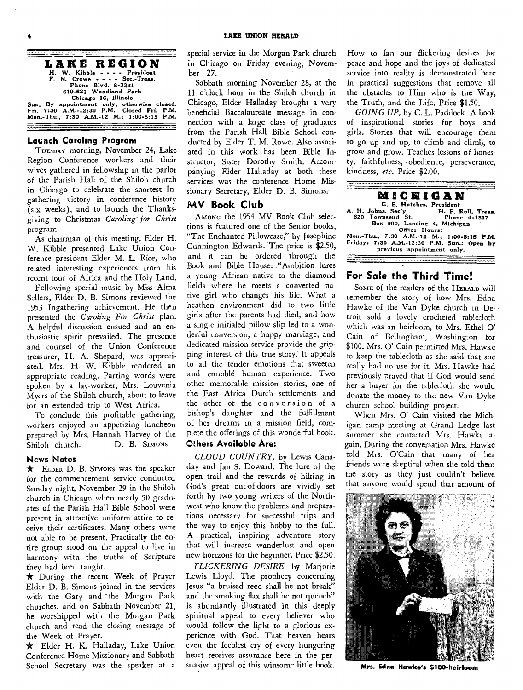

#### **Launch Caroling Program**

TUESDAY morning, November 24, Lake Region Conference workers and their wives gathered in fellowship in the parlor of the Parish Hall of the Shiloh church in Chicago to celebrate the shortest Ingathering victory in conference history (six weeks), and to launch the Thanksgiving to Christmas *Caroling for Christ*  program.

As chairman of this meeting, Elder H. W. Kibble presented Lake Union Conference president Elder M. L. Rice, who related interesting experiences from his recent tour of Africa and the Holy Land.

Following special music by Miss Alma Sellers, Elder D. B. Simons reviewed the 1953 Ingathering achievement. He then presented the *Caroling For Christ* plan. A helpful discussion ensued and an enthusiastic spirit prevailed. The presence and counsel of the Union Conference treasurer, H. A. Shepard, was appreciated. Mrs. H. W. Kibble rendered an appropriate reading. Parting words were spoken by a lay-worker, Mrs. Louvenia Myers of the Shiloh church, about to leave for an extended trip to West Africa.

To conclude this profitable gathering, workers enjoyed an appetizing luncheon prepared by Mrs. Hannah Harvey of the Shiloh church. D. B. SIMONS

#### **News Notes**

 $\star$  ELDER D. B. SIMONS was the speaker for the commencement service conducted Sunday night, November 29 in the Shiloh church in Chicago when nearly 50 graduates of the Parish Hall Bible School were present in attractive uniform attire to receive their certificates. Many others were not able to be present. Practically the entire group stood on the appeal to live in harmony with the truths of Scripture they had been taught.

\* During the recent Week of Prayer Elder D. B. Simons joined in the services with the Gary and the Morgan Park churches, and on Sabbath November 21, he worshipped with the Morgan Park church and read the closing message of the Week of Prayer.

\* Elder H. K. Halladay, Lake Union Conference Home Missionary and Sabbath School Secretary was the speaker at a

special service in the Morgan Park church in Chicago on Friday evening, November 27.

Sabbath morning November 28, at the 11 o'clock hour in the Shiloh church in Chicago, Elder Halladay brought a very beneficial Baccalaureate message in connection with a large class of graduates from the Parish Hall Bible School conducted by Elder T. M. Rowe. Also associated in this work has been Bible Instructor, Sister Dorothy Smith. Accompanying Elder Halladay at both these services was the conference Home Mis sionary Secretary, Elder D. B. Simons.

#### **MV Book Club**

AMONG the 1954 MV Book Club selections is featured one of the Senior books, "The Enchanted Pillowcase," by Josephine Cunnington Edwards. 'The price is \$2.50, and it can be ordered through the Book and Bible House: ."Ambition lures a young African native to the diamond fields where he meets a converted native girl who changes his life. What a heathen environment did to two little girls after the parents had died, and how a single initialed pillow slip led to a wonderful conversion, a happy marriage, and dedicated mission service provide the gripping interest of this true story. It appeals to all the tender emotions that sweeten and ennoble human experience. Two other memorable mission stories, one of the East Africa Dutch settlements and the other of the conversion of a bishop's daughter and the fulfillment of her dreams in a mission field, comp!ete the offerings of this wonderful book.

#### **Others Available Are:**

*CLOUD COUNTRY,* by Lewis Canaday and Jan S. Doward. The lure of the open trail and the rewards of hiking in God's great out-of-doors are vividly set forth by two young writers of the Northwest who know the problems and preparations necessary for successful trips and the way to enjoy this hobby to the full. A practical, inspiring adventure story that will increase wanderlust and open new horizons for the beginner. Price \$2.50.

*FLICKERING DESIRE,* by Marjorie Lewis Lloyd. The prophecy concerning Jesus "a bruised reed shall he not break" and the smoking flax shall he not quench" is abundantly illustrated in this deeply spiritual appeal to every believer who would follow the light to a glorious experience with God. That heaven hears even the feeblest cry of every hungering heart receives assurance here in the persuasive appeal of this winsome little book.

How to fan our flickering desires for peace and hope and the joys of dedicated service into reality is demonstrated here in practical suggestions that remove all the obstacles to Him who is the Way, the Truth, and the Life. Price \$1.50.

*GOING UP,* by C. L. Paddock. A book of inspirational stories for boys and girls. Stories that will encourage them to go up and up, to climb and climb, to grow and grow. Teaches lessons of honesty, faithfulness, obedience, perseverance, kindness, *etc.* Price \$2.00.



#### **For Sole the Third Time!**

SOME of the readers of the HERALD will remember the story of how Mrs. Edna Hawke of the Van Dyke church in Detroit sold a lovely crocheted tablecloth which was an heirloom, to Mrs. Ethel O' Cain of Bellingham, Washington for \$100. Mrs. 0' Cain permitted Mrs. Hawke to keep the tablecloth as she said that she really had no use for it. Mrs. Hawke had previously prayed that if God would send her a buyer for the tablecloth she would donate the money to the new Van Dyke church school building project.

When Mrs. 0' Cain visited the Michigan camp meeting at Grand Ledge last summer she contacted Mrs. Hawke again. During the conversation Mrs. Hawke told Mrs. O'Cain that many of her friends were skeptical when she told them the story as they just couldn't believe that anyone would spend that amount of



**Mrs. Edna Hawke's \$100-heirloom**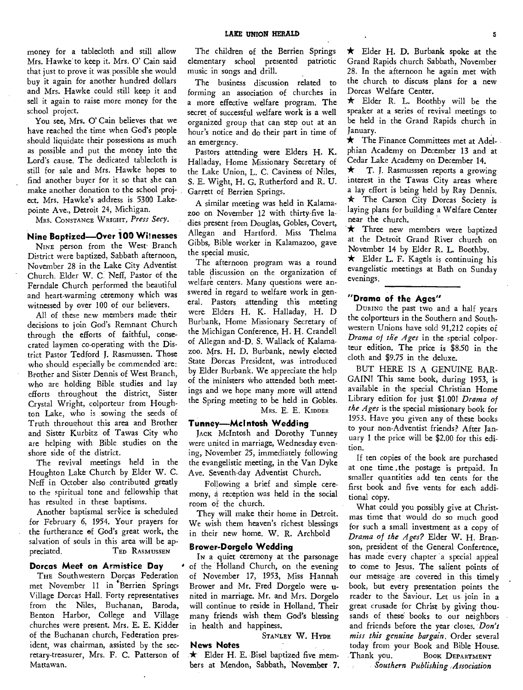money for a tablecloth and still allow Mrs. Hawke to keep it. Mrs. 0' Cain said that just to prove it was possible she would buy it again for another hundred dollars and Mrs. Hawke could still keep it and sell it again to raise more money for the school project.

You see, Mrs. O' Cain believes that we have reached the time when God's people should liquidate their possessions as much as possible and put the money into the Lord's cause. The dedicated tablecloth is still for sale and Mrs. Hawke hopes to find another buyer for it so that she can make another donation to the school project. Mrs. Hawke's address is 5300 Lakepointe Ave., Detroit 24, Michigan.

MRS. CONSTANCE WRIGHT, *Press Secy.* 

#### **Nine Baptized—Over 100 Witnesses**

NINE person from the West Branch District were baptized, Sabbath afternoon, November 28 in the Lake City Adventist Church. Elder W. C. Neff, Pastor of the Ferndale Church performed the beautiful and heart-warming ceremony which was witnessed by over 100 of our believers.

All of these new members made their decisions to join God's Remnant Church through the efforts of faithful, consecrated laymen co-operating with the District Pastor Tedford J. Rasmussen. Those who should especially be commended are: Brother and Sister Dennis of West Branch, who are holding Bible studies and lay efforts throughout the district, Sister Crystal Wright, colporteur from Houghton Lake, who is sowing the seeds of Truth throughout this area and Brother and Sister Kurbitz of Tawas City who are helping with Bible studies on the shore side of the district.

The revival meetings held in the Houghton Lake Church by Elder W. C. Neff in October also contributed greatly to the spiritual tone and fellowship that has resulted in these baptisms.

Another baptismal service is scheduled for February 6, 1954. Your prayers for the furtherance of God's great work, the salvation of souls in this area will be appreciated. TED RASMUSSEN

#### **Dorcas Meet on Armistice Day**

THE Southwestern Dorcas Federation met November 11 in Berrien Springs Village Dorcas Hall. Forty representatives from the Niles, Buchanan, Baroda, Benton Harbor, College and Village churches were present. Mrs. E. E. Kidder of the Buchanan church, Federation president, was chairman, assisted by the secretary-treasurer, Mrs. F. C. Patterson of Mattawan.

The children of the Berrien Springs elementary school presented patriotic music in songs and drill.

The business discussion related to forming an association of churches in a more effective welfare program. The secret of successful welfare work is a well organized group that can step out at an hour's notice and do their part in time of an emergency.

Pastors attending were Elders H. K. Halladay, Home Missionary Secretary of the Lake Union, L. C. Caviness of Niles, S. E. Wight, H. G. Rutherford and R. U. Garrett of Berrien Springs.

A similar meeting was held in Kalamazoo on November 12 with thirty-five ladies present from Douglas, Gobles, Covert, Allegan and Hartford. Miss Thelma Gibbs,- Bible worker in Kalamazoo, gave the special music.

The afternoon program was a round table discussion on the organization of welfare centers. Many questions were answered in regard to welfare work in general. Pastors attending this meeting were Elders H. K. Halladay, H. D Burbank, Home Missionary Secretary of the Michigan Conference, H. H. Crandell of Allegan and D. S. Wallack of Kalamazoo. Mrs. H. D. Burbank, newly elected State Dorcas President, was introduced by Elder Burbank. We appreciate the help of the ministers who attended both meetings and we hope many more will attend the Spring meeting to be held in Gobles. MRS. E. E. KIDDER

#### **Tunney—Mcl ntosh Wedding**

JACK McIntosh and. Dorothy Tunney were united in marriage, Wednesday evening, November 25, immediately following the evangelistic meeting, in the Van Dyke Ave. Seventh-day Adventist Church.

Following a brief and simple ceremony, 4 reception was held in the social room of the church.

They will make their home in Detroit. We wish them heaven's richest blessings in their new home. W. R. Archbold

#### **Brower-Dorgelo Wedding**

**News Notes** 

In a quiet ceremony at the parsonage of the Holland Church, on the evening of November 17, 1953, Miss Hannah Brower and Mr. Fred Dorgelo were united in marriage. Mr. and Mrs. Dorgelo will continue to reside in Holland. Their many friends wish them God's blessing in health and happiness.

**STANLEY W. HYDE** 

 $\star$  Elder H. E. Bisel baptized five members at Mendon, Sabbath, November 7. \* Elder H. D. Burbank spoke at the Grand Rapids church Sabbath, November 28. In the afternoon he again met with the church to discuss plans for a new Dorcas Welfare Center.

 $\star$  Elder R. L. Boothby will be the speaker at a series of revival meetings to be held in the Grand Rapids church in January.

 $\star$  The Finance Committees met at Adelphian Academy on December 13 and at Cedar Lake Academy on December 14.

 $\star$  T. J. Rasmusssen reports a growing interest in the Tawas City areas where a lay effort is being held by Ray Dennis.  $\star$  The Carson City Dorcas Society is laying plans for building a Welfare Center near the church.

\* Three new members were baptized at the Detroit Grand River church on November 14 by Elder R. L. Boothby.

 $\star$  Elder L. F. Kagels is continuing his evangelistic meetings at Bath on Sunday evenings.

#### **"Drama of the Ages"**

DURING the past two and a half years the colporteurs in the Southern and Southwestern Unions have sold 91,212 copies of *Drama of the Ages* in the special colporteur edition. The price is \$8.50 in the cloth and \$9.75 in the deluxe.

BUT HERE IS A GENUINE BAR-GAIN! This same book, during 1953, is available in the special Christian Home Library edition for just \$1.00! *Drama of the Ages* is the special missionary book for 1953. Have you given any of these books to your non-Adventist friends? After January 1 the price will be \$2.00 for this edition.

If ten copies of the book are purchased at one time , the postage is prepaid. In smaller quantities add ten cents for the first book and five vents for each additional copy.

What could you possibly give at Christmas time that would do so much good for such a small investment as a copy of *Drama of the Ages?* Elder W. H. Branson, president of the General Conference, has made every chapter a special appeal to come to Jesus. The salient points of our message are covered in this timely book, but every presentation points the reader to the Saviour. Let us join in a great crusade for Christ by giving thousands of these books to our neighbors and friends before the year closes. *Don't miss this genuine bargain.* Order several today from your Book and Bible House. Thank you. BOOK **DEPARTMENT**  *Southern Publishing ,Association*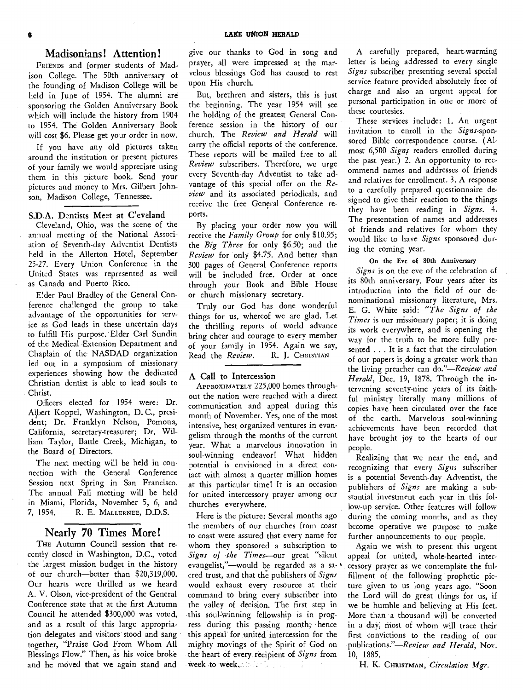#### Madisonians! Attention!

FRIENDS and former students of Madison College. The 50th anniversary of the founding of Madison College will be held in June of 1954. The alumni are sponsoring the Golden Anniversary Book which will include the history from 1904 to 1954. The Golden Anniversary Book will cost \$6. Please get your order in now.

If you have any old pictures taken around the institution or present pictures of your family we would appreciate using them in this picture book. Send your pictures and money to Mrs. Gilbert Johnson, Madison College, Tennessee.

#### S.D.A. Dentists Meet at C'eveland

Cleveland, Ohio, was the scene of the annual meeting of the National Association of Seventh-day Adventist Dentists held in the Allerton Hotel, September 25-27. Every Union Conference in the United States was represented as weil as Canada and Puerto Rico.

Eder Paul Bradley of the General Conference challenged the group to take advantage of the opportunities for service as God leads in these uncertain days to fulfill His purpose. Elder Carl Sundin of the Medical Extension Department and Chaplain of the NASDAD organization led out in a symposium of missionary experiences showing how the dedicated Christian dentist is able to lead souls to Christ.

Officers elected for 1954 were: Dr. Albert Koppel, Washington, D.C., president; Dr. Franklyn Nelson, Pomona, California, secretary-treasurer; Dr. William Taylor, Battle Creek, Michigan, to the Board of Directors.

The next meeting will be held in connection with the General Conference Session next Spring in San Francisco. The annual Fall meeting will be held in Miami, Florida, November 5, 6, and 7, 1954. R. E. MALLERNEE, D.D.S.

#### Nearly 70 Times More!

THE Autumn Council session that recently closed in Washington, D.C., voted the largest mission budget in the history of our church—better than \$20,319,000. Our hearts were thrilled as we heard A. V. Olson, vice-president of the General Conference state that at the first Autumn Council he attended \$300,000 was voted, and as a result of this large appropriation delegates and visitors stood and sang together, "Praise God From Whom All Blessings Flow." Then, as his voice broke and he moved that we again stand and

give our thanks to God in song and prayer, all were impressed at the marvelous blessings God has caused to rest upon His church.

But, brethren and sisters, this is just the beginning. The year 1954 will see the holding of the greatest General Conference session in the history of our church. The *Review and Herald* will carry the official reports of the conference. These reports will be mailed free to all *Review* subscribers. Therefore, we urge every Seventh-day Adventist to take advantage of this special offer on the *Review* and its associated periodicals, and receive the free General Conference reports.

By placing your order now you will receive the *Family Group* for only \$10.95; the *Big Three* for only \$6.50; and the *Review* for only \$4.75. And better than 300 pages of General Conference reports will be included free. Order at once through your Book and Bible House or church missionary secretary.

Truly our God has done wonderful things for us, whereof we are glad. Let the thrilling reports of world advance bring cheer and courage to every member of your family in 1954. Again we say,<br>Read the Review. R. J. CHRISTIAN Read the *Review*.

#### A Call to Intercession

APPROXIMATELY 225,000 homes throughout the nation were reached with a direct communication and appeal during this month of November. Yes, one of the most intensive, best organized ventures in evangelism through the months of the current year. What a marvelous innovation in soul-winning endeavor! What hidden potential is envisioned in a direct contact with almost a quarter million homes at this particular time! It is an occasion for united intercessory prayer among our churches everywhere.

Here is the picture: Several months ago the members of our churches from coast to coast were assured that every name for whom they sponsored a subscription to *Signs of the Times—our* great "silent evangelist,"—would be regarded as a sacred trust, and that the publishers of *Signs*  would exhaust every resource at their command to bring every subscriber into the valley of decision. The first step in this soul-winning fellowship is in progress during this passing month; hence this appeal for united intercession for the mighty movings of the Spirit of God on the heart of every recipient of *Signs* from week to week.

A carefully prepared, heart-warming letter is being addressed to every single *Signs* subscriber presenting several special service feature provided absolutely free of charge and also an urgent appeal for personal participation in one or more of these courtesies.

These services include: 1. An urgent invitation to enroll in the *Signs-sponsored* Bible correspondence course. (Almost 6,500 *Signs* readers enrolled during the past year.) 2. An opportunity to recommend names and addresses of friends and relatives for enrollment. 3. A response to a carefully prepared questionnaire designed to give their reaction to the things they have been reading in *Signs.* 4. The presentation of names and addresses of friends and relatives for whom they would like to have *Signs* sponsored during the coming year.

#### On the Eve of 80th Anniversary

*Signs* is on the eve of the celebration of its 80th anniversary. Four years after its introduction into the field of our denominational missionary literature, Mrs. E. G. White said: *"The Signs of the Times* is our missionary paper; it is doing its work everywhere, and is opening the way for the truth to be more fully presented . . . It is a fact that the circulation of our papers is doing a greater work than the living preacher can *do."—Review and Herald,* Dec. 19, 1878. Through the intervening seventy-nine years of its faithful ministry literally many millions of copies have been circulated over the face of the earth. Marvelous soul-winning achievements have been recorded that have brought joy to the hearts of our people.

Realizing that we near the end, and recognizing that every *Signs* subscriber is a potential Seventh-day Adventist, the publishers of *Signs* are making a substantial investment each year in this follow-up service. Other features will follow during the coming months, and as they become operative we purpose to make further announcements to our people.

Again we wish to present this urgent appeal for united, whole-hearted inter- ' cessory prayer as we contemplate the fulfillment of the following prophetic picture given to us long years ago. "Soon the Lord will do great things for us, if we be humble and believing at His feet. More than a thousand will be converted in a day, most of whom will trace their first convictions to the reading of our publications."—Review *and Herald,* Nov. 10, 1885.

H. K. CHRISTMAN, *Circulation Mgr.*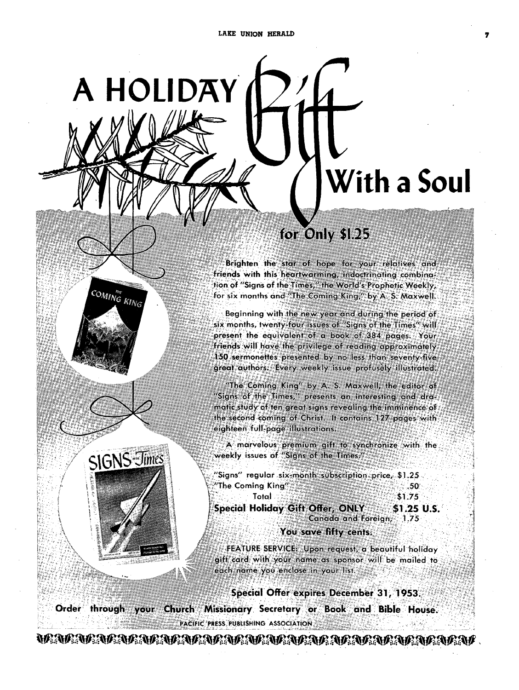**A HOLIDAY** 

SIGNS Jimes

**COMING KING** 

Yt t  $\ddot{\ddot{\Sigma}}$ 

# **With a Soul**

# **for Only \$1.25**

Brighten the star of hope for your relatives and friends with this heartwarming, indoctrinating combination of "Signs of the Times," the World's-Prophetic Weekly, **for six months and "The Coming King," by A. S. MaxwelL** 

Beginning with the new year and during the period of **six months, twenty-four issues of "Signs of the present the equivalent of a book of 384 paggs. Your friehds will have the privilege of reading approximately 150 sermonettes presented by no less than seventy-five great authors. Every weekly issue profusely illustrated.** 

**"The Coming King" by A. S. Maxwell, the editor of "Signs of the Times," presents an interesting and dra**matic study of ten great signs revealing the imminence of **the 440Wcf-cOmin9 of Christ. It contains 127 pages with**  eight n **full-page illustrations.** 

**.44 marvelous"qremium gift to synchronize with the weekly issues of "Signs of the Times."** 

**"Signs" regular six month, subscription: prce \$1.25 '':,"The Coming King 3%3 .50** 

Total 1.25, *MARK START 1.75* Special Holiday Gift Offer, ONLY: \$1.25 U.S. **Canada and Foreign, 1.75** 

**You save fifty cents.** 

**;-FEATURE SERVICE Upon request, a beautiful holiday gift card with your name as sponsor will be mailed to**  each.name you enclose in your list.

**Special Offer expires December 31, 1953. Church Missionary Secretary or Book and Bible House. Order through your PACIFIC PRESS PUBLISHING ASSOCIATION** 

WAARARARARARARARARARARARARARARARARARA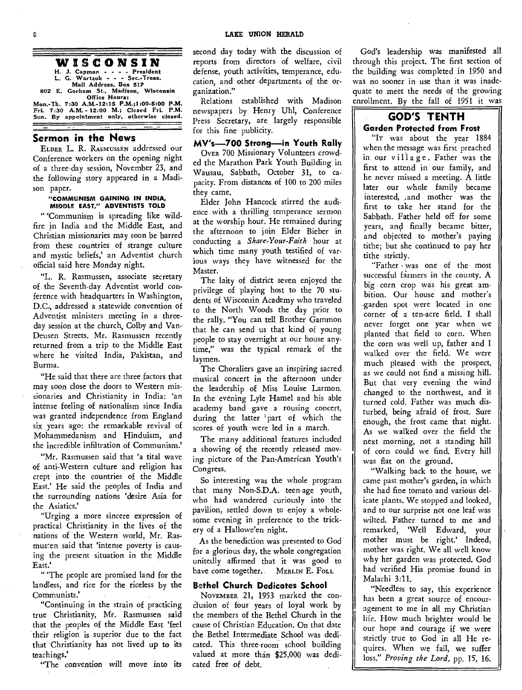#### **WISCONSIN**

**H. J. Capman - - President L. G. Wartzok - - Sec.-Treas. Mail Address, Box 51? 802 E. Gorham St., Madison, Wisconsin Office Hours:** 

**Mon.-Th. 7:30 A.M.-12:15. P.M.;1:00-5:00 P.M. Fri. 7:30 A.M. - 12:00 M.; Closed Fri. P.M. Sun. By appointment only, otherwise closed.** 

#### **Sermon in the News**

ELDER L. R. RASMUSSEN addressed our Conference workers on the opening night of a three-day session, November 23, and the following story appeared in a Madison paper.

#### **"COMMUNISM GAINING IN INDIA, MIDDLE EAST," ADVENTISTS TOLD**

" 'Communism is spreading like wildfire in India and the Middle East, and Christian missionaries may soon be barred from these countries of strange culture and mystic beliefs,' an Adventist church official said here Monday night.

"L. R. Rasmussen, associate secretary of the Seventh-day Adventist world conference with headquarters in Washington, D.C., addressed a statewide convention of Adventist ministers meeting in a threeday session at the church, Colby and Van-Deusen Streets. Mr. Rasmussen recently returned from a trip to the Middle East where he visited India, Pakistan, and Burma.

"He said that there are three factors that may soon close the doors to Western missionaries and Christianity in India: 'an intense feeling of nationalism since India was granted independence from England six years ago: the remarkable revival of Mohammedanism and Hinduism, and the incredible infiltration of Communism.'

"Mr. Rasmussen said that 'a tital wave of anti-Western culture and religion has crept into the countries of the Middle East.' He said the peoples of India and the surrounding nations 'desire Asia for the Asiatics.'

"Urging a more sincere expression of practical Christianity in the lives of the nations of the Western world, Mr. Rasmusten said that 'intense poverty is causing the present situation in the Middle East.

" The people are promised land for the landless, and rice for the riceless by the Communists.'

"Continuing in the strain of practicing true Christianity, Mr. Rasmussen said that the peoples of the Middle East 'feel their religion is superior due to the fact that Christianity has not lived up to its teachings.'

"The convention will move into its

second day today with the discussion of reports from directors of welfare, civil defense, youth activities, temperance, education, and other departments of the organization."

Relations established with Madison newspapers by Henry Uhl, Conference Press Secretary, are largely responsible for this fine publicity.

**MV's-700 Strong—in Youth Rally**  OVER 700 Missionary Volunteers crowded the Marathon Park Youth Building in Wausau, Sabbath, October 31, to capacity. From distances of 100 to 200 miles they came.

Elder John Hancock stirred the audience with a thrilling temperance sermon at the worship hour. He remained during the afternoon to join Elder Bieber in conducting a *Share-Your-Faith* hour at which time many youth testified of various ways, they have witnessed for the Master.

The laity of district seven enjoyed the privilege of playing host to the 70 students of Wisconsin Academy who traveled to the North Woods the day prior to the rally. "You can tell Brother Gammon that he can send us that kind of young people to stay overnight at our house anytime," was the typical remark of the laymen.

The Choraliers gave an inspiring sacred musical concert in the afternoon under the leadership of Miss Louise Larmon. In the evening Lyle Hamel and his able academy band gave a rousing concert, during the latter 'part of which the scores of youth were led in a march.

The many additional features included a showing of the recently released moving picture of the Pan-American Youth's Congress.

So interesting was the whole program that many Non-S.D.A. teen-age youth, who had wandered curiously into the pavilion, settled down to enjoy a wholesome evening in preference to the trickery of a Hallowe'en night.

As the benediction was presented to God for a glorious day, the whole congregation unitedly affirmed that it was good to have come together. MERLIN E. Foll

#### **Bethel Church Dedicates School**

NOVEMBER 21, 1953 marked the conclusion of four years of loyal work by the members of the Bethel Church in the cause of Christian Education. On that date the Bethel Intermediate School was dedicated. This three-room school building valued at more than \$25,000 was dedicated free *of* debt.

God's leadership was manifested all through this project. The first section of the building was completed in 1950 and was no sooner in use than it was inadequate to meet the needs of the growing enrollment. By the fall of 1951 it was

#### **GOD'S TENTH Garden Protected from Frost**

"Ir was about the year 1884 when the message was first preached in our village. Father was the first to attend in our family, and he never missed a meeting. A little later our whole family became interested, ,and mother was the first to take her stand for the Sabbath. Father held off for some years, and finally became bitter, and objected to mother's paying tithe; but she continued to pay her tithe strictly.

"Father • was one of the most successful farmers in the county. A big corn crop was his great ambition. Our house and mother's •garden spot were located in one corner of a ten-acre field. I shall never forget one year when we planted that field to corn. When the corn was well up, father and I walked over the field. We were much pleased with the prospect, as we could not find a missing hill. But that very evening the wind changed to the northwest, and it turned cold. Father was much disturbed, being afraid of frost. Sure enough, the frost came that night. As we walked over the field the next morning, not a standing hill of corn could we find. Every hill was flat on the ground.

"Walking back to the house, we came past mother's garden, in which she had fine tomato and various delicate plants. We stopped and looked, and to our surprise not one leaf was wilted. Father turned to me and remarked, 'Well Edward, your mother must be right.' Indeed, mother was right. We all well know why her garden was protected. God had verified His promise found in Malachi 3:11.

"Needless to say, this experience has been a great source of encouragement to me in all my Christian life. How much brighter would be our hope and courage if we were strictly true to God in all He requires. When we fail, we suffer loss." *Proving the Lord,* pp. 15, 16.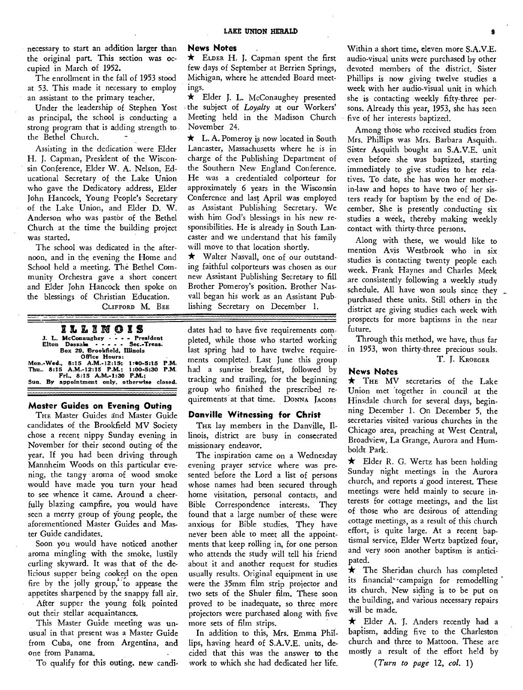necessary to start an addition larger than the original part. This section was occupied in March of 1952.

The enrollment in the fall of 1953 stood at 53. This made it necessary to employ an assistant to the primary teacher.

Under the leadership of Stephen Yost as principal, the school is conducting a strong program that is adding strength to the Bethel Church.

Assisting in the dedication were Elder H. J. Capman, President of the Wisconsin Conference, Elder W. A. Nelson, Educational Secretary of the Lake Union who gave the Dedicatory address, Elder John Hancock, Young People's Secretary of the Lake Union, and Elder D. W. Anderson who was pastor of the Bethel Church at the time the building project was started.

The school was dedicated in the afternoon, and in the evening the Home and School held a meeting. The Bethel Community Orchestra gave a short concert and Elder John Hancock then spoke on the blessings of Christian Education. CLIFFORD M. BEE

# **ILLEN IS J. L. McConaughey - - - President Elton Dessaini Sec.-Treas. Box 29, Brookfield, Illinois Office Hours: Mon.-Wed., 8:15 A.M.-12:15; 1?e0-5:15 P.M. Thu.. 8:15 A.M.-I2:15 P.M.; 1:00-5:30 P.M**. **Fri., 8:15 A.M.-1:30 P.M.; Sun. By appointment only, otherwise closed.**

#### **Master Guides on Evening Outing**

THE Master Guides and Master Guide candidates of the Brookfield MV Society chose a recent nippy Sunday evening in November for their second outing of the year. If you had been driving through Mannheim Woods on this particular evening, the tangy aroma of wood smoke would have made you turn your head to see whence it came. Around a cheerfully blazing campfire, you would have seen a merry group of young people, the aforementioned Master Guides and Master Guide candidates.

Soon you would have noticed another aroma mingling with the smoke, lustily curling skyward. It was that of the delicious supper being cooked on the open fire by the jolly group, to appease the appetites sharpened by the snappy fall air.

After supper the young folk pointed out their stellar acquaintances.

This Master Guide meeting was unusual in that present was a Master Guide from Cuba, one from Argentina, and one from Panama.

To qualify for this outing, new candi-

#### **News Notes**

\* ELDER H. J. Capman spent the first few days of September at Berrien Springs, Michigan, where he attended Board meetings.

\* Elder J. L. McConaughey presented - the subject of *Loyalty* at our Workers' Meeting held in the Madison Church November 24.

 $\star$  L. A. Pomeroy is now located in South Lancaster, Massachusetts where he is in charge of the Publishing Department of the Southern New England Conference. He was a credentialed colporteur for approximately 6 years in the Wisconsin Conference and last April was employed as Assistant Publishing Secretary. We wish him God's blessings in his new responsibilities. He is already in South Lancaster and we understand that his family will move to that location shortly.

\* Walter Nasvall, one of our outstanding faithful colporteurs was chosen as our new Assistant Publishing Secretary to fill Brother Pomeroy's position. Brother Nasvall began his work as an Assistant Publishing Secretary on December 1.

dates had to have five requirements completed, while those who started working last spring had to have twelve requirements completed. Last June this group had a sunrise breakfast, followed by tracking and trailing, for the beginning group who finished the prescribed requirements at that time. DONNA JACOBS

#### **Danville Witnessing for Christ**

THE lay members in the Danville, Illinois, district are busy in consecrated missionary endeavor.

The inspiration came on a Wednesday evening prayer service where was presented before the Lord a list of persons whose names had been secured through home visitation, personal contacts, and Bible Correspondence interests. They found that a large number of these were anxious for Bible studies. They have never been able to meet all the appointments that keep rolling in, for one person who attends the study will tell his friend about it and another request for studies usually results. Original equipment in use were the 35mm film strip projector and two sets of the Shuler film. These soon proved to be inadequate, so three more projectors were purchased along with five more sets of film strips.

In addition to this, Mrs. Emma Phillips, having heard of S.A.V.E. units, decided that this was the answer to the work to which she had dedicated her life.

Within a short time, eleven more S.A.V.E. audio-visual units were purchased by other devoted members of the district. Sister Phillips is now giving twelve studies a week with her audio-visual unit in which she is contacting weekly fifty-three persons. Already this year, 1953, she has seen five of her interests baptized.

Among those who received studies from Mrs. Phillips was Mrs. Barbara Asquith. Sister Asquith bought an S.A.V.E. unit even before she was baptized, starting immediately to give studies to her relatives. To date, she has won her motherin-law and hopes to have two of her sisters ready for baptism by the end of December. She is presently conducting six studies a week, thereby making weekly contact with thirty-three persons.

Along with these, we would like to mention Avis Westbrook who in six studies is contacting twenty people each week. Frank Haynes and Charles Meek are consistently following a weekly study schedule. All have won souls since they purchased these units. Still others in the district are giving studies each week with prospects for more baptisms in the near future.

Through this method, we have, thus far in 1953, won thirty-three precious souls. T. J. KROEGER

#### **News Notes**

\* THE MV secretaries of the Lake Union met 'together in council at the Hinsdale church for several days, beginning December 1. On December 5, the secretaries visited various churches in the Chicago area, preaching at West Central, Broadview, La Grange, Aurora and Humboldt Park.

 $\star$  Elder R. G. Wertz has been holding Sunday night meetings in the Aurora church, and reports a good interest. These meetings were held mainly to secure interests for cottage meetings, and the list of those who are desirous of attending cottage meetings, as a result of this church effort, is quite large. At a recent baptismal service, Elder Wertz baptized four, and very soon another baptism is anticipated.

 $\star$  The Sheridan church has completed its financial' 'campaign for remodelling its church. New siding is to be put on the building, and various necessary repairs will be made.

\* Elder A. J. Anders recently had a baptism, adding five to the Charleston church and three to Mattoon. These are mostly a result of the effort held by

*(Turn to page* 12, *col. 1)*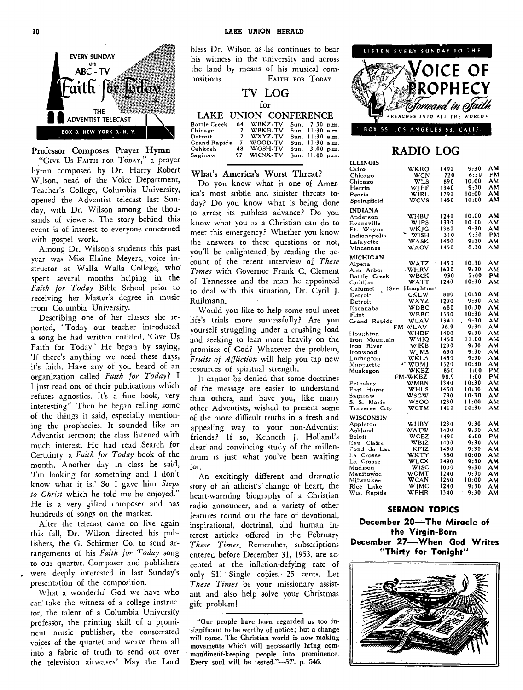

#### Professor Composes Prayer Hymn

"GIVE Us FAITH FOR TODAY," a prayer hymn composed by Dr. Harry Robert Wilson, head of the Voice Department, Teacher's College, Columbia University, opened the Adventist telecast last Sunday, with Dr. Wilson among the thousands of viewers. The story behind this event is of interest to everyone concerned with gospel work.

Among Dr. Wilson's students this past year was Miss Elaine Meyers, voice instructor at Walla Walla College, who spent several months helping in the *Faith for Today* Bible School prior to receiving her Master's degree in music from Columbia University.

Describing one of her classes she reported, "Today our teacher introduced a song he had written entitled, 'Give Us Faith for Today.' He began by saying, `If there's anything we need these days, it's faith. Have any of you heard of an organization called *Faith for Today? I <sup>I</sup>*just read one of their publications which refutes agnostics. It's a fine book, very interesting!' Then he began telling some of the things it said, especially mentioning the prophecies. It sounded like an Adventist sermon; the class listened with much interest. He had read Search for Certainty, a *Faith for Today* book of the month. Another day in class he said, `I'm looking for something and I don't know what it is.' So I gave him *Steps to Christ* which he told me he enjoyed." He is a very gifted composer and has hundreds of songs on the market.

After the telecast came on live again this fall, Dr. Wilson directed his publishers, the G. Schirmer Co. to send arrangements of his *Faith for Today* song to our quartet. Composer and publishers were deeply interested in last Sunday's presentation of the composition.

What a wonderful God we have who can take the witness of a college instructor, the talent of a Columbia University professor, the printing skill of a prominent music publisher, the consecrated voices of the quartet and weave them all into a fabric of truth to send out over the television airwaves! May the Lord

TV the land by means of his musical com-<br>  $F_{\text{ATTH-FOR}}$   $T_{\text{ODAY}}$   $\blacksquare$   $\blacksquare$   $\blacksquare$   $\blacksquare$   $\blacksquare$   $\blacksquare$   $\blacksquare$   $\blacksquare$   $\blacksquare$   $\blacksquare$   $\blacksquare$   $\blacksquare$   $\blacksquare$   $\blacksquare$   $\blacksquare$   $\blacksquare$   $\blacksquare$   $\blacksquare$   $\blacksquare$   $\blacksquare$   $\blacksquare$   $\blacksquare$  bless Dr. Wilson as he continues to bear his witness in the university and across positions. FAITH FOR TODAY

#### **TV LOG**  for

#### LAKE UNION CONFERENCE

| Battle Creek        | 64 | WBKZ-TV   | Sun. 7:30 p.m.    |  |
|---------------------|----|-----------|-------------------|--|
| Chicago 7 WBKB-TV   |    |           | Sun. $11:30$ a.m. |  |
| Detroit             |    | 7 WXYZ-TV | Sun. $11:30$ a.m. |  |
| <b>Grand Rapids</b> |    | 7 WOOD-TV | Sun. $11:30$ a.m. |  |
| Oshkosh             | 48 | WOSH-TV   | Sun. 3:00 p.m.    |  |
| Saginaw             | 57 | WKNX-TV   | Sun. 11:00 p.m.   |  |
|                     |    |           |                   |  |

#### What's America's Worst Threat?

Do you know what is one of America's most subtle and sinister threats today? Do you know what is being done to arrest its ruthless advance? Do you know what you as a Christian can do to meet this emergency? Whether you know the answers to these questions or not, you'll be enlightened by reading the account of the recent interview of *These Times* with Governor Frank C. Clement of Tennessee and the man he appointed to deal with this situation, Dr. Cyril J. Ruilmann.

Would you like to help some soul meet life's trials more successfully? Are you yourself struggling under a crushing load and seeking to lean more heavily on the promises of God? Whatever the problem, *Fruits of Affliction* will help you tap new resources of spiritual strength.

It cannot be denied that some doctrines of the message are easier to understand than others, and have you, like many other Adventists, wished to present some of the more difficult truths in a fresh and appealing way to your non-Adventist friends? If so, Kenneth J. Holland's clear and convincing study of the millennium is just what you've been waiting for.

An excitingly different and dramatic story of an atheist's change of heart, the heart-warming biography of a Christian radio announcer, and a variety of other features round out the fare of devotional, inspirational, doctrinal, and human interest articles offered in the February *These Times.* Remember, subscriptions entered before December 31, 1953, are accepted at the inflation-defying rate of only \$1! Single copies, 25 cents. Let *These Times* be your missionary assistant and also help solve your Christmas gift problem!

"Our people have been regarded as too insignificant to be worthy of notice; but a change will come. The Christian world is now making movements which will necessarily bring commandment-keeping people into prominence. Every soul will be tested." $-5T$ . p. 546.



#### BOX 55, LOS ANGELES 53. CALIF.

#### **RADIO LOG**

| ILLINOIS         |                |       |       |     |
|------------------|----------------|-------|-------|-----|
| Cairo            | WKRO           | 1490  | 9:30  | ΑМ  |
| Chicago          | WGN            | 720   | 6:30  | РM  |
| Chicago          | WLS            | 890   | 10:00 | AМ  |
| Herrin           | WJPF           | 1340  | 9:30  | ΑМ  |
| Peoria           | <b>WIRL</b>    | 1290  | 10:00 | ΑМ  |
| Springfield      | wcvs           | 1450  | 10:00 | AМ  |
|                  |                |       |       |     |
| INDIANA          |                |       |       |     |
| Anderson         | WHBU           | 1240  | 10:00 | AM  |
| Evansville       | WJPS           | 1330  | 10:00 | AМ  |
| Ft. Wayne        | WKJG           | 1380  | 9:30  | AМ  |
| Indianapolis     | <b>WISH</b>    | 1310  | 9:30  | PМ  |
| Lafavette        | WASK           | 1450  | 9:30  | ΑМ  |
| Vincennes        | WAOV           | 1450  | 8:30  | AМ  |
| MICHIGAN         |                |       |       |     |
| Alpena           | WATZ           | 1450  | 10:30 | AM  |
| Ann Arbor        | . WHRV         | 1600  | 9:30  | AM  |
| Battle Creek     | WBCK           | 930   | 7:00  | PM. |
|                  | WATT           | 1240  | 10:30 | AM  |
| Cadillac<br>(See | Houghton)      |       |       |     |
| Calumet          |                |       | 10:30 | AМ  |
| Detroit          | CKLW           | 800   |       |     |
| Detroit          | WXYZ           | 1270  | 9:30  | AM  |
| Escanaba         | WDBC           | 680   | 10:30 | AМ  |
| Flint            | WBBC           | 1330  | 10:30 | AM  |
| Grand Rapids     | WLAV           | 1340  | 9:30  | AM. |
|                  | <b>FM-WLAV</b> | 96.9  | 9:30  | AM  |
| Houghton         | WHDF           | 1400  | 9:30  | AМ  |
| Iron Mountain    | WMIO           | 1450  | 11:00 | АΜ  |
| lron River       | WIKB           | 1230  | 9:30  | AМ  |
| Ironwood         | WJMS           | 630   | 9:30  | AM  |
| Ludington        | WKLA           | 1450  | 9:30  | ۸м  |
| Marquette        | $\sim$ WDMJ    | 1320  | 10:30 | AM  |
| Muskegon         | WKBZ           | 850   | 1:00  | PM  |
|                  | FM-WKBZ        | 98.9  | 1:00  | PМ  |
| Petoskey         | WMBN           | 1340  | 10:30 | AM  |
| Port Huron       | WHLS           | 1450  | 10:30 | ΑМ  |
| Saginaw          | wscw           | 790   | 10:30 | AМ  |
| S. S. Marie      | wsoo           | 1230  | 11:00 | ΑМ  |
| Traverse City    | WCTM           | 1400  | 10:30 | AM  |
|                  |                |       |       |     |
| WISCONSIN        |                |       |       |     |
| Appleton         | WHBY           | 1230  | 9:30  | ΑМ  |
| Ashland          | WATW           | 1400  | 9:30  | AМ  |
| Beloit           | <b>WGEZ</b>    | 1490  | 6:00  | PM  |
| Eau Claire       | WBIZ           | 1400  | 9:30  | ΑМ  |
| Fond du Lac      | KFIZ           | 1450  | 9:30  | AM  |
| La Crosse        | WKTY           | 580   | 10:00 | AМ  |
| La Crosse        | WLCX           | I 490 | .9:30 | AM  |
| Madison          | WISC           | 1000  | 9:30  | ΑМ  |
| Manitowoc        | WOMT           | 1240  | 9:30  | AM  |
| Milwaukee        | WCAN           | 1250  | 10:00 | AМ  |
| Rice Lake        | WJMC           | 1240  | 9:30  | AМ  |
| Wis.<br>Rapids   | WFHR           | 1340  | 9:30  | AM  |
|                  |                |       |       |     |

#### **SERMON TOPICS**

**December 20—The Miracle of the Virgin-Born December 27—When God Writes "Thirty for Tonight"** 

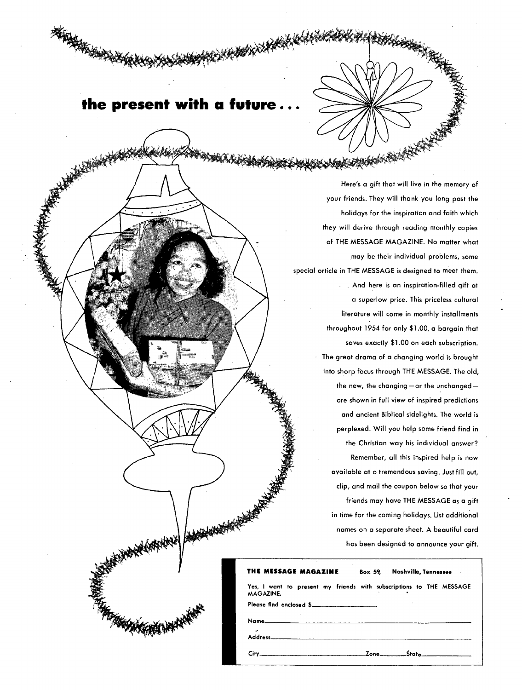## **the present with a future ...**

**KAN** 

Here's a gift that will live in the memory of your friends. They will thank you long past the holidays for the inspiration and faith which they will derive through reading monthly copies of THE MESSAGE MAGAZINE. No matter what may be their individual problems, some special orticle in THE MESSAGE is designed to meet them. And here is an inspiration-filled gift at a superlow price. This priceless cultural literature will come in monthly installments throughout 1954 for only \$1.00, a bargain that saves exactly \$1.00 on each subscription. The great drama of a changing world is brought into sharp focus through THE MESSAGE. The old, the new, the changing —or the unchanged are shown in full view of inspired predictions and ancient Biblical sidelights. The world is perplexed. Will you help some friend find in the Christian way his individual answer? Remember, all this inspired help is now available at o tremendous saving. Just fill out, clip, and mail the coupon below so that your friends may have THE MESSAGE as a gift in time for the coming holidays. List additional names on a separate sheet. A beautiful card hos been designed to announce your gift.

| THE MESSAGE MAGAZINE    | Box 59. Nashville, Tennessee.                                       |
|-------------------------|---------------------------------------------------------------------|
| <b>MAGAZINE.</b>        | Yes, I want to present my friends with subscriptions to THE MESSAGE |
| Please find enclosed \$ |                                                                     |
|                         |                                                                     |
|                         |                                                                     |
|                         |                                                                     |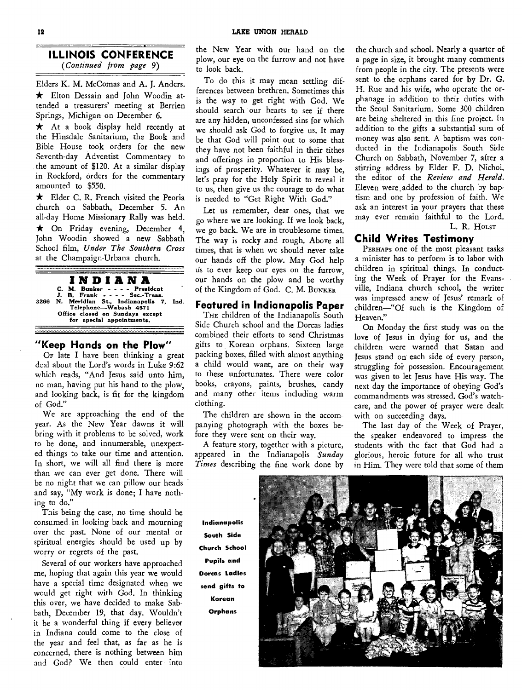**ILLINOIS CONFERENCE** 

*(Continued from page* 9)

Elders K. M. McComas and A. J. Anders.  $\star$  Elton Dessain and John Woodin attended a treasurers' meeting at Berrien Springs, Michigan on December 6.

 $\star$  At a book display held recently at the Hinsdale Sanitarium, the Book and Bible House took orders for the new Seventh-day Adventist Commentary to the amount of \$120. At a similar display in Rockford, orders for the commentary amounted to \$550.

\* Elder C. R. French visited the Peoria church on Sabbath, December 5. An all-day Home Missionary Rally was held. \* On Friday evening, December 4, John Woodin showed a new Sabbath School film, *Under The Southern Cross*  at the Champaign-Urbana church.

**INDIANA C. M. Bunker - - - - President**  Sec.-Treas. **3266 N. Meridian St., Indianapolis** 7, **Ind. Telephone—Wabash 4571 Office closed on Sundays except for special appointments.** 

#### **"Keep Hands on the Plow"**

OF late I have been thinking a great deal about the Lord's words in Luke 9:62 which reads, "And Jesus said unto him, no man, having put his hand to the plow, and looking back, is fit for the kingdom of God."

We are approaching the end of the year. As the New Year dawns it will bring with it problems to be solved, work to be done, and innumerable, unexpected things to take our time and attention. In short, we will all find there is more than we can ever get done. There will be no night that we can pillow our heads and say, "My work is done; I have nothing to do."

This being the case, no time should be consumed in looking back and mourning over the past. None of our mental or spiritual energies should be used up by worry or regrets of the past.

Several of our workers have approached me, hoping that again this year we would have a special time designated when we would get right with God. In thinking this over, we have decided to make Sabbath, December 19, that day. Wouldn't it be a wonderful thing if every believer in Indiana could come to the close of the year and feel that, as far as he is concerned, there is nothing between him and God? We then could enter into

the New Year with our hand on the plow, our eye on the furrow and not have to look back.

To do this it may mean settling differences between brethren. Sometimes this is the way to get right with God. We should search our hearts to see if there are any hidden, unconfessed sins for which we should ask God to forgive us. It may be that God will point out to some that they have not been faithful in their tithes and offerings in proportion to His blessings of prosperity. Whatever it may be, let's pray for the Holy Spirit to reveal it to us, then give us the courage to do what is needed to "Get Right With God."

Let us remember, dear ones, that we go where we are looking. If we look back, we go back. We are in troublesome times. The way is rocky and rough. Above all times, that is when we should never take our hands off the plow. May God help us to ever keep our eyes on the furrow, our hands on the plow and be worthy of the Kingdom of God. C. M. BUNKER

#### **Featured in Indianapolis Paper**

THE children of the Indianapolis South Side Church school and the Dorcas ladies combined their efforts to send Christmas gifts to Korean orphans. Sixteen large packing boxes, filled with almost anything a child would want, are on their way to these unfortunates. There were color books, crayons, paints, brushes, candy and many other items including warm clothing.

The children are shown in the accompanying photograph with the boxes before they were sent on their way.

A feature story, together with a picture, appeared in the Indianapolis *Sunday Times* describing the fine work done by

the church and school. Nearly a quarter of a page in size, it brought many comments from people in the city. The presents were sent to the orphans cared for by Dr. G. H. Rue and his wife, who operate the orphanage in addition to their duties with the Seoul Sanitarium. Some 300 children are being sheltered in this fine project. hi addition to the gifts a substantial sum of money was also sent. A baptism was conducted in the Indianapolis South Side Church on Sabbath, November 7, after a stirring address by Elder F. D. Nichol, the editor of the *Review and Herald.*  Eleven were added to the church by baptism and one by profession of faith. We ask an interest in your prayers that these may ever remain faithful to the Lord. L. R. HOLST

#### **Child Writes Testimony**

PERHAPS one of the most pleasant tasks a minister has to perform is to labor with children in spiritual things. In conducting the Week of Prayer for the Evansville, Indiana church school, the writer was impressed anew of Jesus' remark of children—"Of such is the Kingdom of Heaven."

On Monday the first study was on the love of Jesus in dying for us, and the children were warned that Satan and Jesus stand on each side of every person, struggling foi possession. Encouragement was given to let Jesus have His way. The next day the importance of obeying God's commandments was stressed. God's watchcare, and the power of prayer were dealt with on succeeding days.

The last day of the Week of Prayer, the speaker endeavored to impress the students with the fact that God had a glorious, heroic future for all who trust in Him. They were told that some of them

**Indianapolis South Side Church School Pupils and Dorcas Ladies send gifts to Korean** 

**Orphans** 

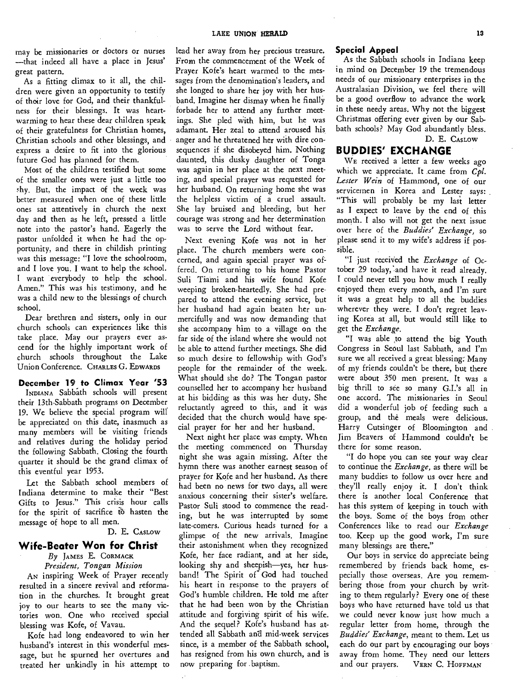may be missionaries or doctors or nurses —that indeed all have a place in Jesus' great pattern.

As a fitting climax to it all, the children were given an opportunity to testify of their love for God, and their thankfulness for their blessings. It was heartwarming to hear these dear children speak of their gratefulness for Christian homes, Christian schools and other blessings, and express a desire to fit into the glorious future God has planned for them.

Most of the children testified but some of the smaller ones were just a little too shy. But, the impact of the week was better measured when one of these little ones sat attentively in church the next day and then as he left, pressed a little note into the pastor's hand. Eagerly the pastor unfolded it when he had the opportunity, and there in childish printing was this message: "I love the schoolroom, and I love you. I want to help the school. I want everybody to help the school. Amen." This was his testimony, and he was a child new to the blessings of church school.

Dear brethren and sisters, only in our church schools can experiences like this take place. May our prayers ever ascend for the highly important work of church schools throughout the Lake Union Conference. CHARLES G. EDWARDS

#### **December 19 to Climax Year '53**

INDIANA Sabbath schools will present their 13th-Sabbath programs on December 19. We believe the special program will be appreciated on this date, inasmuch as many members will be visiting friends and relatives during the holiday period the following Sabbath. Closing the fourth quarter it should be the grand climax of this eventful year 1953.

Let the Sabbath school members of Indiana determine to make their "Best Gifts to Jesus." This crisis hour calls for the spirit of sacrifice to hasten the message of hope to all men.

#### D. E. CAsLow

#### **Wife-Beater Won for Christ**

*By* JAMES E. CORMACK *President, Tongan Mission* 

AN inspiring Week of Prayer recently resulted in a sincere revival and reformation in the churches. It brought great joy to our hearts to see the many victories won. One who received special blessing was Kofe, of Vavau.

Kofe had long endeavored to win her husband's interest in this wonderful message, but he spurned her overtures and treated her unkindly in his attempt to lead her away from her precious treasure. From the commencement of the Week of Prayer Kofe's heart warmed to the messages from the denomination's leaders, and she longed to share her joy with her husband. Imagine her dismay when he finally forbade her to attend any further meetings. She pled with him, but he was adamant. Her zeal to attend aroused his anger and he threatened her with dire consequences if she disobeyed him. Nothing daunted, this dusky daughter of Tonga was again in her place at the next meeting, and special prayer was requested for her husband. On returning home she was the helpless victim of a cruel assault. She lay bruised and bleeding, but her courage was strong and her determination was to serve the Lord without fear.

Next evening Kofe was not in her place. The church members were concerned, and again special prayer was offered. On returning to his home Pastor Suli Tiami and his wife found Kofe weeping broken-heartedly. She had prepared to attend the evening service, but her husband had again beaten her unmercifully and was now demanding that she accompany him to a village on the far side of the island where she would not be able to attend further meetings. She did so much desire to fellowship with God's people for the remainder of the week. What should she do? The Tongan pastor counselled her to accompany her husband at his bidding as this was her duty. She reluctantly agreed to this, and it was decided that the church would have special prayer for her and her husband.

Next night her place was empty. When the meeting commenced on Thursday night she was again missing. After the hymn there was another earnest season of prayer for Kofe and her husband. As there had been no news for two days, all were anxious concerning their sister's welfare. Pastor Suli stood to commence the reading, but he was interrupted by some late-corners. Curious heads turned for a glimpse of the new arrivals. Imagine their astonishment when they recognized Kofe, her face radiant, and at her side, looking shy and sheepish—yes, her husband! The Spirit of' God had touched his heart in response to the prayers of God's humble children. He told me after that he had been won by the Christian attitude and forgiving spirit of his wife. And the sequel? Kofe's husband has attended all Sabbath and mid-week services since, is a member of the Sabbath school, has resigned from his own church, and is now preparing for .baptism.

#### **Special Appeal**

As the Sabbath schools in Indiana keep in mind on December 19 the tremendous needs of our missionary enterprises in the Australasian Division, we feel there will be a good overflow to advance the work in these needy areas. Why not the biggest Christmas offering ever given by our Sabbath schools? May God abundantly bless. D. E. CASLOW

#### **BUDDIES' EXCHANGE**

WE received a letter a few weeks ago which we appreciate. It came from *Cpl. Lester Wein* of Hammond, one of our servicemen in Korea and Lester says: "This will probably be my last letter as I expect to leave by the end of this month. I also will not get the next issue over here of the *Buddies' Exchange,* so please send it to my wife's address if possible.

"I just received the *Exchange* of October 29 today, and have it read already. I could never tell you how much I really enjoyed them every month, and I'm sure it was a great help to all the buddies wherever they were. I don't regret leaving Korea at all, but would still like to get the *Exchange.* 

"I was able to attend the big Youth Congress in Seoul last Sabbath, and I'm sure we all received a great blessing: Many of my friends couldn't be there, but there were about 350 men present. It was a big thrill to see so many G.I.'s all in one accord. The missionaries in Seoul did a wonderful job of feeding such a group, and the meals were delicious. Harry Cutsinger of Bloomington and Jim Beavers of Hammond couldn't be there for some reason.

"I do hope you can see your way clear to continue the *Exchange,* as there will be many buddies to follow us over here and they'll really enjoy it. I don't think there is another local Conference that has this system of keeping in touch with the boys. Some of the boys from other Conferences like to read our *Exchange*  too. Keep up the good work, I'm sure many blessings are there."

Our boys in service do appreciate being remembered by friends back home, especially those overseas. Are you remembering those from your church by writing to them regularly? Every one of these boys who have returned have told us that we could never know just how much a regular letter from home, through the *Buddies' Exchange,* meant to them. Let us each do our part by encouraging our boys away from home. They need our letters and our prayers. VERN C. HOFFMAN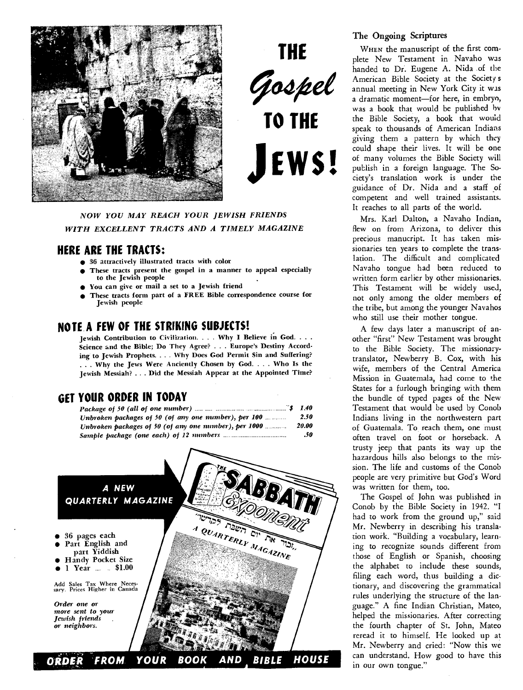

**THE**  Gospel **TO THE EWS!** 

*NOW YOU MAY REACH YOUR JEWISH FRIENDS WITH EXCELLENT TRACTS AND A TIMELY MAGAZINE* 

#### **HERE ARE THE TRACTS:**

- 36 attractively illustrated tracts with color
- These tracts present the gospel in a manner to appeal especially to the Jewish people
- You can give or mail a set to a Jewish friend
- These tracts form part of a FREE Bible correspondence course for Jewish people

#### **NOTE. A FEW OF THE STRIKING SUBJECTS!**

Jewish Contribution to Civilization. . . . Why I Believe in God. . . . Science and the Bible; Do They Agree? . . . Europe's Destiny According to Jewish Prophets. . . . Why Does God Permit Sin and Suffering? . . . Why the Jews Were Anciently Chosen by God. . . . Who Is the Jewish Messiah? .. . Did the Messiah Appear at the Appointed Time?

#### **GET YOUR ORDER IN TODAY**

| Package of 50 (all of one number) $\frac{1}{2}$ $\frac{1}{2}$ $\frac{1}{2}$ 1.40 |       |
|----------------------------------------------------------------------------------|-------|
| Unbroken packages of 50 (of any one number), per 100                             | 2.50  |
| Unbroken packages of 50 (of any one number), per 1000                            | 20.00 |
|                                                                                  | .50   |



#### **The Ongoing Scriptures**

WHEN the manuscript of the first complete New Testament in Navaho was handed to Dr. Eugene A. Nida .of the American Bible Society at the Society s annual meeting in New York City it wis a dramatic moment—for here, in embryo, was a book that would be published by the Bible Society, a book that would speak to thousands of American Indians giving them a pattern by which they could shape their lives. It will be one of many volumes the Bible Society will publish in a foreign language. The Society's translation work is under the guidance of Dr. Nida and a staff of competent and well trained assistants. It reaches to all parts of the world.

Mrs. Karl Dalton, a Navaho Indian, flew on from Arizona, to deliver this precious manucript. It has taken missionaries ten years to complete the translation. The difficult and complicated Navaho tongue had been reduced to written form earlier by other missionaries. This Testament will be widely used, not only among the older members of the tribe, but among the younger Navahos who still use their mother tongue.

A few days later a manuscript of another "first" New Testament was brought to the Bible Society. The missionarytranslator, Newberry B. Cox, with his wife, members of the Central America Mission in Guatemala, had come to the States for a furlough bringing with them the bundle of typed pages of the New Testament that would be used by Conob Indians living in the northwestern part of Guatemala. To reach them, one must often travel on foot or horseback. A trusty jeep that pants its way up the hazardous hills also belongs to the mission. The life and customs of the Conob people are very primitive but God's Word was written for them, too.

The Gospel of John was published in Conob by the Bible Society in 1942. "I had to work from the ground up," said Mr. Newberry in describing his translation work. "Building a vocabulary, learning to recognize sounds different from those of English or Spanish, choosing the alphabet to include these sounds, filing each word, thus building a dictionary, and discovering the grammatical rules underlying the structure of the language." A fine Indian Christian, Mateo, helped the missionaries. After correcting the fourth chapter of St. John, Mateo reread it to himself. He looked up at Mr. Newberry and cried: "Now this we can understand. How good to have this in our own tongue."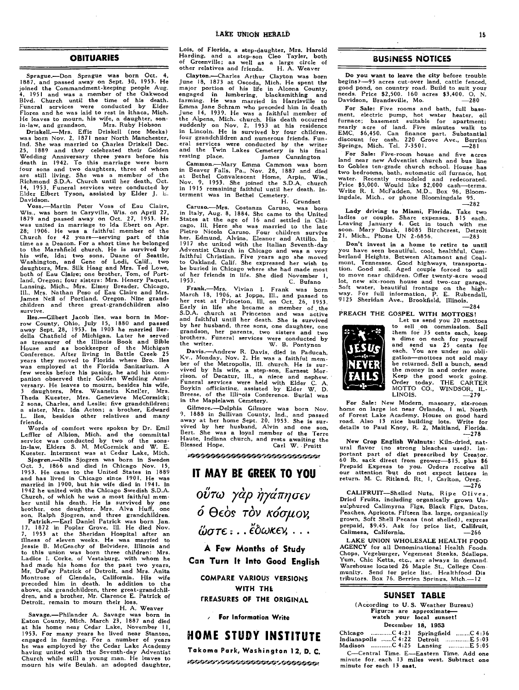#### **OBITUARIES**

Sprague.—Don Sprague was born Oct. 4, 1887, and passed away on Sept. 30, 1953. He joined the Commandment-keeping people Aug. 4, 1951 and was a member of the Oakwood Blvd. Church until the time of his death. Funeral services were conducted by Elder Florea and he was laid to rest in Ithaca, Mich. He leaves to mourn, his wife, a daughter, son-<br>in-law, and grandson. Mrs. Ruby Hobson

in-law, and grandson. Mrs. Ruby Hobson Driskell.—Mrs. Effie Driskell (nee Meeks) was born Nov. 2, 1871 near North Manchester, Ind. She was married to Charles Driskell Dec.<br>25, 1889 and they celebrated their Golden Wedding Anniversary three years before his<br>death in 1942. To this marriage were born<br>four sons and two daughters, three of whom<br>are st Elder Elbert Tyson, assisted by Elder J. L.

Davidson.<br>
Voss.—Martin Peter Voss of Eau Claire,<br>
Wis., was born in Caryville, Wis. on April 27,<br>
1879 and passed away on Oct. 27, 1953. He<br>
was united in marriage to lda Ebert on Apr.<br>
28, 1906. He was a faithful member time as a Deacon. For a short time he belonged<br>to the Marshfield church. He is survived by<br>his wife, Ida; two sons, Duane of Seattle,<br>Washington, and Gene of Lodi, Calif., two<br>daughters, Mrs. Silk Haag and Mrs. Ted Lowe,<br>b

Iles.—Gilbert Jacob Iles, was born in Morrow County, Ohio, July 15, 1880 and passed<br>away Sept. 28, 1953. In 1903 he married Ber-<br>della Chatfield of Michigan. Later he served<br>della Chatfield of Michigan. Later he served<br>as few weeks before his pasing, he and his com-panion observed their Golden Wedding Anniversary. He leaves to mourn, besides his wife, 3 daughters, Mrs. Waaneita Kneller, Mrs. Theda Kuester, Mrs. Genevieve McCormick; 2 sons, Charles, and Leslie; five grandchildren; a sister, Mrs. Ida Acton; a brother, Edward lles, besides other relatives and many friends.

Words of comfort were spoken by Dr. Emil Leffler of Albion, Mich. and the committal service was conducted by two of the sons-in-law, Elders S. M. McCormick and W. E. Kuester. Interment was at Cedar Lake, Mich. Sjøgren.—Nils Sjøgren was born in Sweden<br>Oct. 3, 1866 and died in Chicago Nov. 15,<br>1953. He came to the United States in 1889<br>and has lived in Chicago since 1901. He was<br>married in 1900, but his wife died in 1941. In<br>1942 Church, of which he was a most faithful mem-ber until his death. He is survived by one brother, one daughter, Mrs. Alva Huff, one

son, Ralph Sjøgren, and three grandchildren.<br>
Patrick.—Earl Daniel Patrick was born Jan.<br>
17, 1872 in Poplar Grove, ill. He died Nov.<br>
7, 1953 at the Sheridan Hospital after an<br>
11lness of eleven weeks. He was married to<br> Montrose of Glendale, California. His wife preceded him in death. In addition to the above, six grandchildren, three great-grandchil-dren, and a brother, Mr. Clarence E. Patrick of Detroit, remain to mourn their loss.

H. A. Weaver Savage.—Philander A. Savage was born in Eaton County, Mich. March 23, 1887 and died lat his home near Cedar Li, November 11, 1953. For many years he lived near Stanton, engaged in farming. For a number of years he was employed by the Cedar Lake Academy having united with the Seventh-day Adventist Church while still a young man. He leaves to mourn his wife Beulah, an adopted daughter,

Lois, of Florida, a step-daughter, Mrs. Harold Harding, and a step-son Cleo Tayler, both of Greenville; as well as a large circle of other relatives and friends. H. A. Weaver

Clayton.—Charles Arthur Clayton was born June 18, 1873 at Oscoda, Mich. He spent the major portion of his life in Alcona County, engaged in lumbering, blacksmithing and farming. He was married in Harrisville to Emma Jane Schram who preceded him in death June 14, 1939. He was a faithful member of the Alpena, Mich. church. His death occurred suddenly on Nov. 2, 1953 at his residence in Lincoln. He is survived by four children, four grandchildren and numerous friends. Funeral services were conducted by the writer and the Twin Lakes Cemetery is his final resting place. James Cunnington

Cammon.—Mary Emma Cammon was born<br>in Beaver Falls, Pa., Nov. 28, 1887 and died<br>at Bethel Convalescent Home, Arpin, Wis.,<br>Nov. 9, 1953. She joined the S.D.A. church<br>in 1915 remaining faithful until her death. In-<br>terment wa

Caruso.—Mrs. Costanza Caruso, was born<br>in Italy, Aug. 8, 1884. She came to the United<br>States at the age of 16 and settled in Chi-<br>cago, Ill. Here she was married to the United<br>Pietro Nicola Caruso. Four children survive<br>he

Frank, --Mrs. Vivian I. Frank was born<br>March 18, 1906, at Joppa, Ill., and passed to<br>her rest at Princeton, Ill, on Oct. 26, 1953.<br>Early in life she became a member of the<br>Early in life she became a member of the<br>S.D.A. ch by her husband, three sons, one daughter, one grandson, her parents, two sisters and two brothers. Funeral services were conducted by the writer. W. B. Pontynen

Davis.—Andrew R. Davis, died in Paducah, Kv., Monday, Nov. 2. He was a faithful member of the Metropolis, III. church. He is sur-<br>bier of the Metropolis, III. church. He is sur-<br>vived by his wife, a step-son, Earnest Mor-<br> in the Maplelawn Cemetery.

Gilmore.—Delphia Gilmore was born Nov. 9, 1888 in Sullivan County, Ind., and passed away at her home Sept. 20, 1953. She is sur-vived by her husband, Alvin and one son, Bert. She was a loyal member of the Terre Haute, Indiana church, and rests awaiting the Blessed Hope. Carl W. Pruitt

nossososososososososososon

#### **IT MAY BE GREEK TO YOU**

**οΰτω γὰρ ὴγάπησεν**  $\acute{o}$   $\Theta$ εός τόν κόσμον,  $\ddot{\omega}$ *στε* **:** . . . <sup>2</sup> δωκεν, . . .

**A Few Months of Study Can Turn It Into Good English** 

**COMPARE VARIOW VERSIONS WITH THE TREASURES OF THE ORIGINAL** 

**For Information Write** 

#### **HOME STUDY INSTITUTE**

**Takoma Park, Washington 12, D. C.**  \*\*\*\*\*\*\*\*\*\*\*\*\*\*\*\*\*\*\*\*\*\*\*\*\*\*\*\*\*

#### **BUSINESS NOTICES**

Do **you want to leave the city** before trouble begins)-95 acres cut-over land, cattle fenced, good pond, on country road. Build to suit your needs. Price \$2,500. 160 acres \$3,400. **O.** N. Davidson, Brandsville, Mo. —280

For Sale: Five rooms and bath, full basement, electric pump, hot water heater, oil<br>furnace; basement suitable for apartment;<br>nearly acre of land. Five minutes walk to<br>EMC, \$6,450. Can finance part. Substantial<br>EMC, \$6,450. Can finance part. Substantial<br>Springs,

**For Sale:** Five-room house and five acres land near new Adventist church and bus line to Gobles ten-grade church school. House has two bedrooms, bath, automatic oil furnace, hot water. Recently remodeled and redecorated. Price \$5,000. Would like \$2,000 cash—terms. Write R. I. McFadden, M.D., Box 96, Bloomingdale, Mich., or phone Bloomingdale 95.

—282

Lady driving to Miami, Florida. Take two ladies or couple. Share expenses, \$15 each.<br>Leaving January 4. Get in touch with me<br>Leaving January 4. 18085 Birchcrest, Detroit soon. Mary Diack, 18085 Birchcrest, Detroit.<br>21, Mich., Phone UN 2-6856. —283

**Don't invest in a home to retire to until**  you have seen beautiful, cool, healthful, Cum-berland Heights. Between Altamont and Coalmont, Tennessee. Good highways, transportation. Good soil. Aged couple forced to sell<br>to move near children. Offer twenty-acre wood<br>to move near children. Offer twenty-acre wood<br>lot, new six-room house and two-car garage.<br>

**PREACH THE GOSPEL WITH MOTTOES!** 



Let us send you 20 mottoes to sell on commission. Sell them for 35 cents each, keep a dime on each for yourself and send us 25 cents for<br>and send us 25 cents for<br>each, You are under no obligation—mottoes not sold may be returned. Sell a bunch, send the money in and order more. Keep the good work going. Order today. THE CARTER MOTTO CO., WINDSOR, IL-LINOIS. —279

**For Sale:** New Modern, masonry, six-room home on large lot near Orlando, I mi, North of Forest Lake Academy. House on good hard road. Also 13 nice building lots. Write for details to Paul Knoy, R. 2, Maitland, Florida.  $-278$ 

New Crop English **Walnuts:** Kiln-dried, natural flavor (no strong bleaches used). Important part of diet prescribed by Creator.<br>60 lb. sack direct from grower—\$15. plus \$6<br>Prepaid Express to you. Orders receive all<br>our attention 'but do not expect letters in<br>return  $-276$ 

**CALIFRUIT—Shelled** Nuts, Ripe Olives, Dried Fruits, including organically grown Unsulphured Calimyrna Figs, Black Figs, Dates, Peaches, Apricots. Fifteen lbs. large, organically grown, Soft Shell Pecans (not shelled), express prepaid, \$9.45. Ask for price list, **Califruit, Calimesa, California. —266** 

LAKE UNION WHOLESALE HEALTH FOOD<br>AGENCY for all Denominational Health Foods.<br>Chops, Vegeburger, Vegemeat Steaks, Stallops,<br>Yum, Chic Ketts, etc., are always in demand.<br>Warehouse located 26 Maple St., College Community. Send for price list. Healthfood Dis tributors. Box 76. Berrien Springs, Mich.—I2

#### **SUNSET TABLE**

(According **to U.** S. Weather Bureau) **Figures are approximate— watch your local sunset! December 18,** 1953

|                          | Chicago C 4:21 Springfield C 4:36           |
|--------------------------|---------------------------------------------|
|                          | Indianapolis C 4:22 Detroit E 5:03          |
|                          |                                             |
|                          | C-Central Time. E-Eastern Time. Add one     |
|                          | minute for each 13 miles west. Subtract one |
| minute for each 13 east. |                                             |